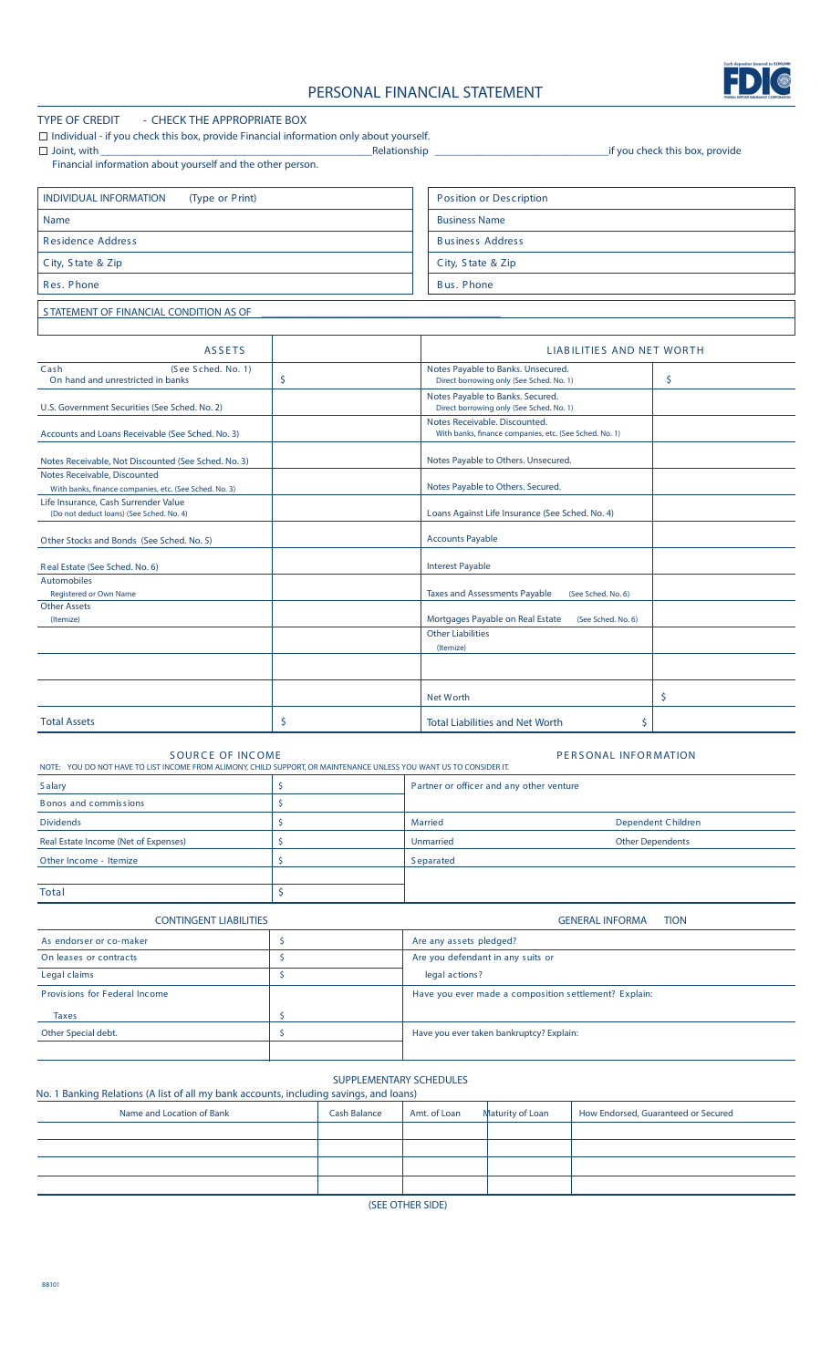# **PERSONAL FINANCIAL STATEMENT**



| <b>TYPE OF CREDIT</b><br>- CHECK THE APPROPRIATE BOX<br>$\Box$ Individual - if you check this box, provide Financial information only about yourself. |                    |                                                                                         |                                 |  |  |  |
|-------------------------------------------------------------------------------------------------------------------------------------------------------|--------------------|-----------------------------------------------------------------------------------------|---------------------------------|--|--|--|
| $\Box$ Joint, with<br>Financial information about yourself and the other person.                                                                      | Relationship       |                                                                                         | _if you check this box, provide |  |  |  |
| <b>INDIVIDUAL INFORMATION</b><br>(Type or Print)                                                                                                      |                    | Position or Description                                                                 |                                 |  |  |  |
| <b>Name</b>                                                                                                                                           |                    | <b>Business Name</b>                                                                    |                                 |  |  |  |
|                                                                                                                                                       |                    |                                                                                         |                                 |  |  |  |
| <b>Residence Address</b>                                                                                                                              |                    | <b>Business Address</b>                                                                 |                                 |  |  |  |
| City, State & Zip                                                                                                                                     |                    | City, State & Zip                                                                       |                                 |  |  |  |
| Res. Phone                                                                                                                                            |                    | <b>Bus. Phone</b>                                                                       |                                 |  |  |  |
| STATEMENT OF FINANCIAL CONDITION AS OF                                                                                                                |                    |                                                                                         |                                 |  |  |  |
|                                                                                                                                                       |                    |                                                                                         |                                 |  |  |  |
| <b>ASSETS</b><br>(See Sched. No. 1)<br>Cash                                                                                                           |                    | LIABILITIES AND NET WORTH<br>Notes Payable to Banks. Unsecured.                         |                                 |  |  |  |
| On hand and unrestricted in banks                                                                                                                     | \$                 | Direct borrowing only (See Sched. No. 1)                                                | \$                              |  |  |  |
| U.S. Government Securities (See Sched. No. 2)                                                                                                         |                    | Notes Payable to Banks. Secured.<br>Direct borrowing only (See Sched. No. 1)            |                                 |  |  |  |
| Accounts and Loans Receivable (See Sched. No. 3)                                                                                                      |                    | Notes Receivable. Discounted.<br>With banks, finance companies, etc. (See Sched. No. 1) |                                 |  |  |  |
| Notes Receivable, Not Discounted (See Sched. No. 3)                                                                                                   |                    | Notes Payable to Others. Unsecured.                                                     |                                 |  |  |  |
| Notes Receivable, Discounted                                                                                                                          |                    |                                                                                         |                                 |  |  |  |
| With banks, finance companies, etc. (See Sched. No. 3)<br>Life Insurance, Cash Surrender Value                                                        |                    | Notes Payable to Others. Secured.                                                       |                                 |  |  |  |
| (Do not deduct loans) (See Sched. No. 4)                                                                                                              |                    | Loans Against Life Insurance (See Sched. No. 4)                                         |                                 |  |  |  |
| Other Stocks and Bonds (See Sched. No. 5)                                                                                                             |                    | <b>Accounts Payable</b>                                                                 |                                 |  |  |  |
| Real Estate (See Sched. No. 6)                                                                                                                        |                    | <b>Interest Payable</b>                                                                 |                                 |  |  |  |
| <b>Automobiles</b><br>Registered or Own Name                                                                                                          |                    | <b>Taxes and Assessments Payable</b><br>(See Sched. No. 6)                              |                                 |  |  |  |
| <b>Other Assets</b><br>(Itemize)                                                                                                                      |                    | Mortgages Payable on Real Estate<br>(See Sched. No. 6)                                  |                                 |  |  |  |
|                                                                                                                                                       |                    | <b>Other Liabilities</b>                                                                |                                 |  |  |  |
|                                                                                                                                                       |                    | (Itemize)                                                                               |                                 |  |  |  |
|                                                                                                                                                       |                    |                                                                                         |                                 |  |  |  |
|                                                                                                                                                       |                    | <b>Net Worth</b>                                                                        | \$                              |  |  |  |
| <b>Total Assets</b>                                                                                                                                   | \$                 | \$<br><b>Total Liabilities and Net Worth</b>                                            |                                 |  |  |  |
| <b>SOURCE OF INCOME</b><br>NOTE: YOU DO NOT HAVE TO LIST INCOME FROM ALIMONY, CHILD SUPPORT, OR MAINTENANCE UNLESS YOU WANT US TO CONSIDER IT.        |                    | PERSONAL INFORMATION                                                                    |                                 |  |  |  |
| <b>Salary</b>                                                                                                                                         | \$                 | Partner or officer and any other venture                                                |                                 |  |  |  |
| <b>Bonos and commissions</b>                                                                                                                          | \$                 |                                                                                         |                                 |  |  |  |
| <b>Dividends</b>                                                                                                                                      | \$                 | <b>Married</b>                                                                          | <b>Dependent Children</b>       |  |  |  |
| Real Estate Income (Net of Expenses)                                                                                                                  | \$                 | <b>Unmarried</b><br><b>Other Dependents</b>                                             |                                 |  |  |  |
| Other Income - Itemize                                                                                                                                | \$                 | <b>Separated</b>                                                                        |                                 |  |  |  |
| Total                                                                                                                                                 | \$                 |                                                                                         |                                 |  |  |  |
| <b>CONTINGENT LIABILITIES</b>                                                                                                                         |                    | <b>GENERAL INFORMA</b>                                                                  | <b>TION</b>                     |  |  |  |
| As endorser or co-maker                                                                                                                               | \$                 | Are any assets pledged?                                                                 |                                 |  |  |  |
| On leases or contracts                                                                                                                                | $\mathsf{\hat{S}}$ | Are you defendant in any suits or                                                       |                                 |  |  |  |
| Legal claims                                                                                                                                          | \$                 | legal actions?                                                                          |                                 |  |  |  |
| Provisions for Federal Income                                                                                                                         |                    | Have you ever made a composition settlement? Explain:                                   |                                 |  |  |  |

**SUPPLEMENTARY SCHEDULES** 

Other Special debt. **Explain:**  $\begin{vmatrix} 5 & 1 \\ 2 & 5 \end{vmatrix}$  Have you ever taken bankruptcy? Explain:

Taxes \$

## **No. 1 Banking Relations (A list of all my bank accounts, including savings, and loans)**<br>Name and Location of Bank<br>**Cash Balance** Amt. of Lo Name and Location of Bank Cash Balance Amt. of Loan Maturity of Loan

| Name and Location of Bank | <b>Cash Balance</b> | Amt. of Loan | Maturity of Loan | How Endorsed, Guaranteed or Secured |  |  |  |
|---------------------------|---------------------|--------------|------------------|-------------------------------------|--|--|--|